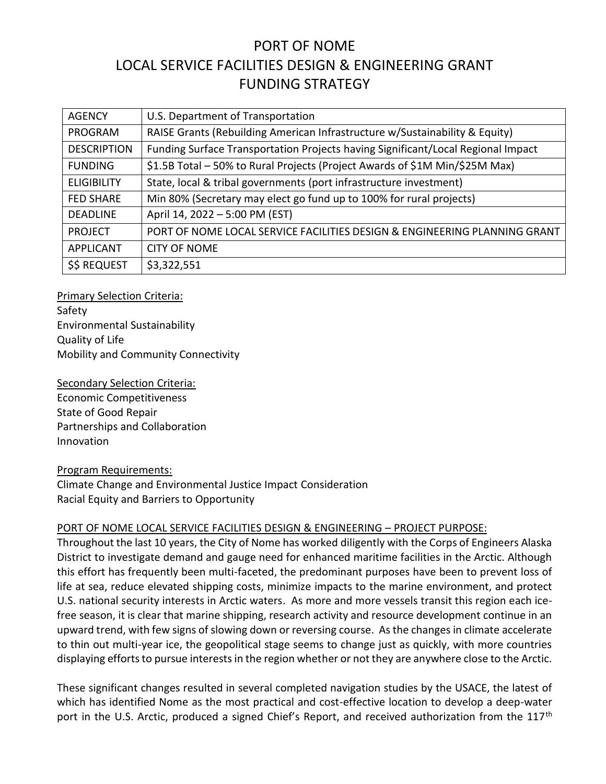# PORT OF NOME LOCAL SERVICE FACILITIES DESIGN & ENGINEERING GRANT FUNDING STRATEGY

| <b>AGENCY</b>      | U.S. Department of Transportation                                                |
|--------------------|----------------------------------------------------------------------------------|
| PROGRAM            | RAISE Grants (Rebuilding American Infrastructure w/Sustainability & Equity)      |
| <b>DESCRIPTION</b> | Funding Surface Transportation Projects having Significant/Local Regional Impact |
| <b>FUNDING</b>     | \$1.5B Total - 50% to Rural Projects (Project Awards of \$1M Min/\$25M Max)      |
| <b>ELIGIBILITY</b> | State, local & tribal governments (port infrastructure investment)               |
| <b>FED SHARE</b>   | Min 80% (Secretary may elect go fund up to 100% for rural projects)              |
| <b>DEADLINE</b>    | April 14, 2022 - 5:00 PM (EST)                                                   |
| <b>PROJECT</b>     | PORT OF NOME LOCAL SERVICE FACILITIES DESIGN & ENGINEERING PLANNING GRANT        |
| <b>APPLICANT</b>   | <b>CITY OF NOME</b>                                                              |
| \$\$ REQUEST       | \$3,322,551                                                                      |

Primary Selection Criteria: Safety Environmental Sustainability Quality of Life Mobility and Community Connectivity

#### Secondary Selection Criteria:

Economic Competitiveness State of Good Repair Partnerships and Collaboration Innovation

#### Program Requirements:

Climate Change and Environmental Justice Impact Consideration Racial Equity and Barriers to Opportunity

#### PORT OF NOME LOCAL SERVICE FACILITIES DESIGN & ENGINEERING – PROJECT PURPOSE:

Throughout the last 10 years, the City of Nome has worked diligently with the Corps of Engineers Alaska District to investigate demand and gauge need for enhanced maritime facilities in the Arctic. Although this effort has frequently been multi-faceted, the predominant purposes have been to prevent loss of life at sea, reduce elevated shipping costs, minimize impacts to the marine environment, and protect U.S. national security interests in Arctic waters. As more and more vessels transit this region each icefree season, it is clear that marine shipping, research activity and resource development continue in an upward trend, with few signs of slowing down or reversing course. As the changes in climate accelerate to thin out multi-year ice, the geopolitical stage seems to change just as quickly, with more countries displaying efforts to pursue interests in the region whether or not they are anywhere close to the Arctic.

These significant changes resulted in several completed navigation studies by the USACE, the latest of which has identified Nome as the most practical and cost-effective location to develop a deep-water port in the U.S. Arctic, produced a signed Chief's Report, and received authorization from the 117<sup>th</sup>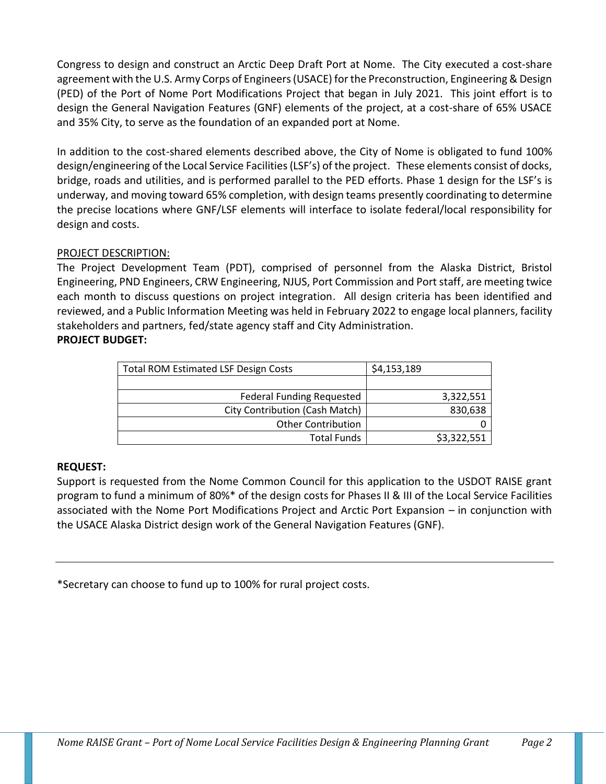Congress to design and construct an Arctic Deep Draft Port at Nome. The City executed a cost-share agreement with the U.S. Army Corps of Engineers (USACE) for the Preconstruction, Engineering & Design (PED) of the Port of Nome Port Modifications Project that began in July 2021. This joint effort is to design the General Navigation Features (GNF) elements of the project, at a cost-share of 65% USACE and 35% City, to serve as the foundation of an expanded port at Nome.

In addition to the cost-shared elements described above, the City of Nome is obligated to fund 100% design/engineering of the Local Service Facilities (LSF's) of the project. These elements consist of docks, bridge, roads and utilities, and is performed parallel to the PED efforts. Phase 1 design for the LSF's is underway, and moving toward 65% completion, with design teams presently coordinating to determine the precise locations where GNF/LSF elements will interface to isolate federal/local responsibility for design and costs.

# PROJECT DESCRIPTION:

The Project Development Team (PDT), comprised of personnel from the Alaska District, Bristol Engineering, PND Engineers, CRW Engineering, NJUS, Port Commission and Port staff, are meeting twice each month to discuss questions on project integration. All design criteria has been identified and reviewed, and a Public Information Meeting was held in February 2022 to engage local planners, facility stakeholders and partners, fed/state agency staff and City Administration. **PROJECT BUDGET:**

| <b>Total ROM Estimated LSF Design Costs</b> | \$4,153,189 |
|---------------------------------------------|-------------|
|                                             |             |
| <b>Federal Funding Requested</b>            | 3,322,551   |
| <b>City Contribution (Cash Match)</b>       | 830,638     |
| <b>Other Contribution</b>                   |             |
| <b>Total Funds</b>                          | \$3,322,551 |

## **REQUEST:**

Support is requested from the Nome Common Council for this application to the USDOT RAISE grant program to fund a minimum of 80%\* of the design costs for Phases II & III of the Local Service Facilities associated with the Nome Port Modifications Project and Arctic Port Expansion – in conjunction with the USACE Alaska District design work of the General Navigation Features (GNF).

\*Secretary can choose to fund up to 100% for rural project costs.